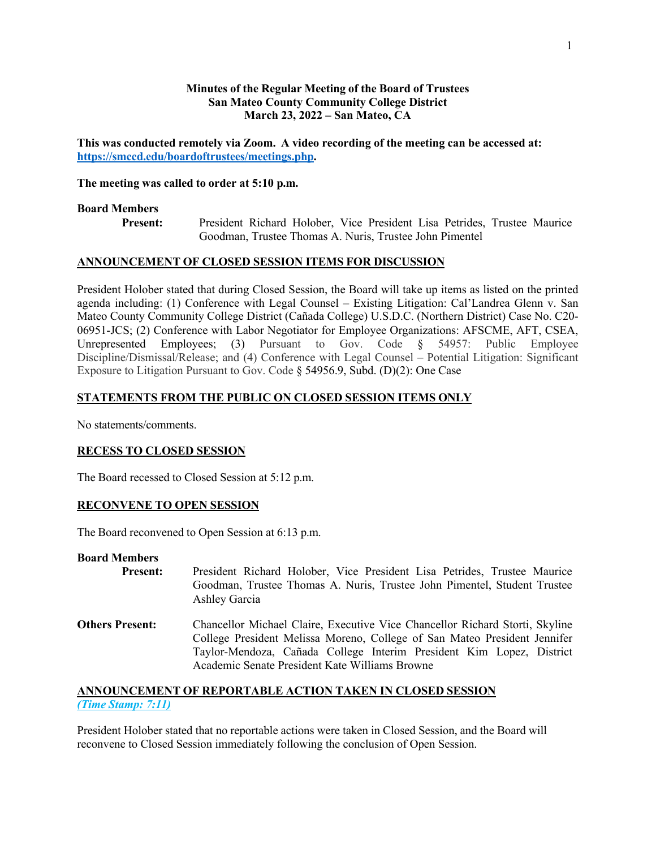### **Minutes of the Regular Meeting of the Board of Trustees San Mateo County Community College District March 23, 2022 – San Mateo, CA**

**This was conducted remotely via Zoom. A video recording of the meeting can be accessed at: https://smccd.edu/boardoftrustees/meetings.php.**

#### **The meeting was called to order at 5:10 p.m.**

### **Board Members**

**Present:** President Richard Holober, Vice President Lisa Petrides, Trustee Maurice Goodman, Trustee Thomas A. Nuris, Trustee John Pimentel

## **ANNOUNCEMENT OF CLOSED SESSION ITEMS FOR DISCUSSION**

President Holober stated that during Closed Session, the Board will take up items as listed on the printed agenda including: (1) Conference with Legal Counsel – Existing Litigation: Cal'Landrea Glenn v. San Mateo County Community College District (Cañada College) U.S.D.C. (Northern District) Case No. C20- 06951-JCS; (2) Conference with Labor Negotiator for Employee Organizations: AFSCME, AFT, CSEA, Unrepresented Employees; (3) Pursuant to Gov. Code § 54957: Public Employee Discipline/Dismissal/Release; and (4) Conference with Legal Counsel – Potential Litigation: Significant Exposure to Litigation Pursuant to Gov. Code § 54956.9, Subd. (D)(2): One Case

## **STATEMENTS FROM THE PUBLIC ON CLOSED SESSION ITEMS ONLY**

No statements/comments.

## **RECESS TO CLOSED SESSION**

The Board recessed to Closed Session at 5:12 p.m.

## **RECONVENE TO OPEN SESSION**

The Board reconvened to Open Session at 6:13 p.m.

#### **Board Members**

- **Present:** President Richard Holober, Vice President Lisa Petrides, Trustee Maurice Goodman, Trustee Thomas A. Nuris, Trustee John Pimentel, Student Trustee Ashley Garcia
- **Others Present:** Chancellor Michael Claire, Executive Vice Chancellor Richard Storti, Skyline College President Melissa Moreno, College of San Mateo President Jennifer Taylor-Mendoza, Cañada College Interim President Kim Lopez, District Academic Senate President Kate Williams Browne

## **ANNOUNCEMENT OF REPORTABLE ACTION TAKEN IN CLOSED SESSION** *(Time Stamp: 7:11)*

President Holober stated that no reportable actions were taken in Closed Session, and the Board will reconvene to Closed Session immediately following the conclusion of Open Session.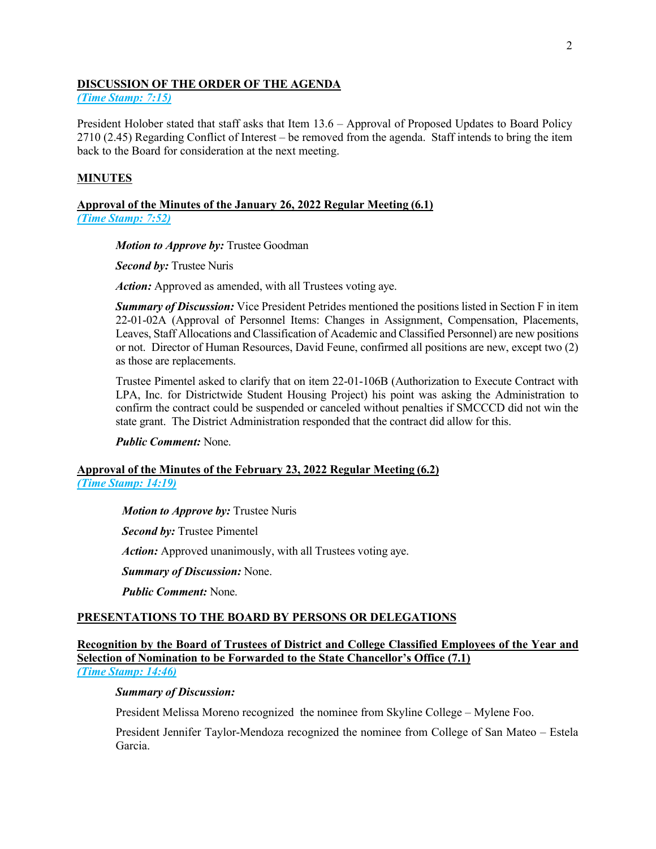### **DISCUSSION OF THE ORDER OF THE AGENDA**

*(Time Stamp: 7:15)*

President Holober stated that staff asks that Item 13.6 – Approval of Proposed Updates to Board Policy 2710 (2.45) Regarding Conflict of Interest – be removed from the agenda. Staff intends to bring the item back to the Board for consideration at the next meeting.

## **MINUTES**

#### **Approval of the Minutes of the January 26, 2022 Regular Meeting (6.1)** *(Time Stamp: 7:52)*

*Motion to Approve by:* Trustee Goodman

*Second by:* Trustee Nuris

*Action:* Approved as amended, with all Trustees voting aye.

*Summary of Discussion:* Vice President Petrides mentioned the positions listed in Section F in item 22-01-02A (Approval of Personnel Items: Changes in Assignment, Compensation, Placements, Leaves, Staff Allocations and Classification of Academic and Classified Personnel) are new positions or not. Director of Human Resources, David Feune, confirmed all positions are new, except two (2) as those are replacements.

Trustee Pimentel asked to clarify that on item 22-01-106B (Authorization to Execute Contract with LPA, Inc. for Districtwide Student Housing Project) his point was asking the Administration to confirm the contract could be suspended or canceled without penalties if SMCCCD did not win the state grant. The District Administration responded that the contract did allow for this.

*Public Comment:* None.

## **Approval of the Minutes of the February 23, 2022 Regular Meeting (6.2)** *(Time Stamp: 14:19)*

*Motion to Approve by:* Trustee Nuris

*Second by:* Trustee Pimentel

*Action:* Approved unanimously, with all Trustees voting aye.

*Summary of Discussion:* None.

*Public Comment:* None.

## **PRESENTATIONS TO THE BOARD BY PERSONS OR DELEGATIONS**

**Recognition by the Board of Trustees of District and College Classified Employees of the Year and Selection of Nomination to be Forwarded to the State Chancellor's Office (7.1)** *(Time Stamp: 14:46)*

#### *Summary of Discussion:*

President Melissa Moreno recognized the nominee from Skyline College – Mylene Foo.

President Jennifer Taylor-Mendoza recognized the nominee from College of San Mateo – Estela Garcia.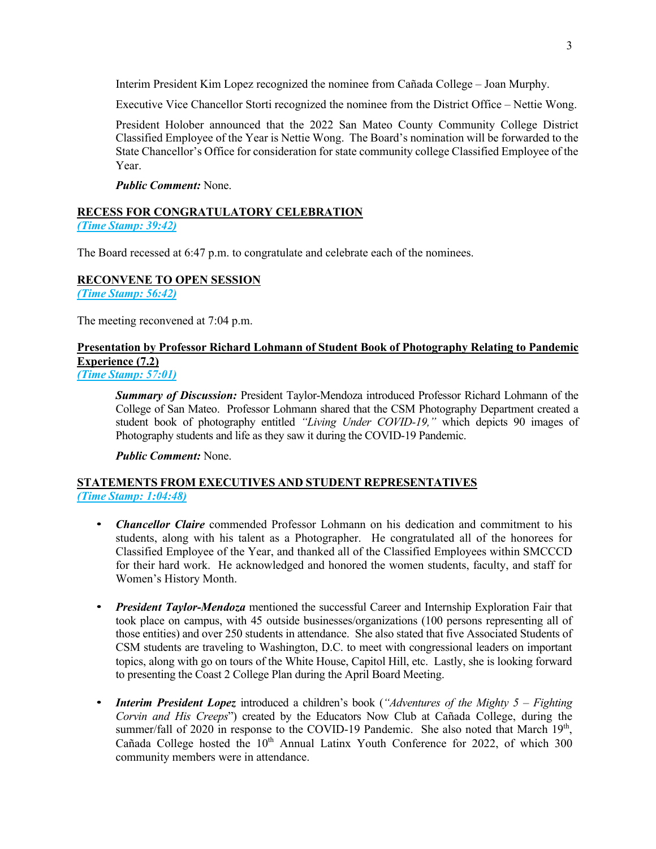Interim President Kim Lopez recognized the nominee from Cañada College – Joan Murphy.

Executive Vice Chancellor Storti recognized the nominee from the District Office – Nettie Wong.

President Holober announced that the 2022 San Mateo County Community College District Classified Employee of the Year is Nettie Wong. The Board's nomination will be forwarded to the State Chancellor's Office for consideration for state community college Classified Employee of the Year.

*Public Comment:* None.

# **RECESS FOR CONGRATULATORY CELEBRATION**

*(Time Stamp: 39:42)*

The Board recessed at 6:47 p.m. to congratulate and celebrate each of the nominees.

## **RECONVENE TO OPEN SESSION**

*(Time Stamp: 56:42)*

The meeting reconvened at 7:04 p.m.

## **Presentation by Professor Richard Lohmann of Student Book of Photography Relating to Pandemic Experience (7.2)**

*(Time Stamp: 57:01)*

*Summary of Discussion:* President Taylor-Mendoza introduced Professor Richard Lohmann of the College of San Mateo. Professor Lohmann shared that the CSM Photography Department created a student book of photography entitled *"Living Under COVID-19,"* which depicts 90 images of Photography students and life as they saw it during the COVID-19 Pandemic.

*Public Comment:* None.

## **STATEMENTS FROM EXECUTIVES AND STUDENT REPRESENTATIVES** *(Time Stamp: 1:04:48)*

- *Chancellor Claire* commended Professor Lohmann on his dedication and commitment to his students, along with his talent as a Photographer. He congratulated all of the honorees for Classified Employee of the Year, and thanked all of the Classified Employees within SMCCCD for their hard work. He acknowledged and honored the women students, faculty, and staff for Women's History Month.
- *President Taylor-Mendoza* mentioned the successful Career and Internship Exploration Fair that took place on campus, with 45 outside businesses/organizations (100 persons representing all of those entities) and over 250 students in attendance. She also stated that five Associated Students of CSM students are traveling to Washington, D.C. to meet with congressional leaders on important topics, along with go on tours of the White House, Capitol Hill, etc. Lastly, she is looking forward to presenting the Coast 2 College Plan during the April Board Meeting.
- *Interim President Lopez* introduced a children's book (*"Adventures of the Mighty 5 – Fighting Corvin and His Creeps*") created by the Educators Now Club at Cañada College, during the summer/fall of 2020 in response to the COVID-19 Pandemic. She also noted that March  $19<sup>th</sup>$ , Cañada College hosted the  $10<sup>th</sup>$  Annual Latinx Youth Conference for 2022, of which 300 community members were in attendance.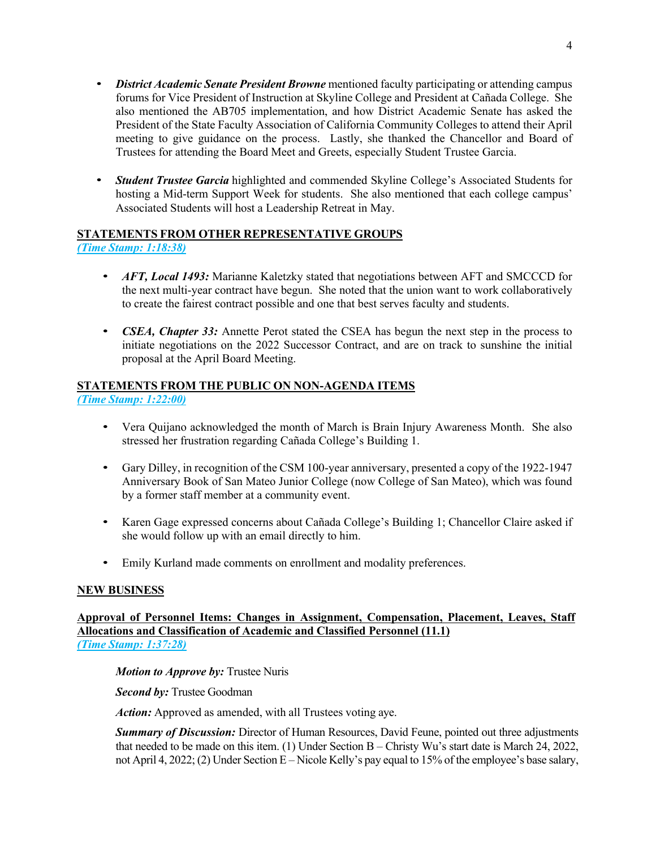- *District Academic Senate President Browne* mentioned faculty participating or attending campus forums for Vice President of Instruction at Skyline College and President at Cañada College. She also mentioned the AB705 implementation, and how District Academic Senate has asked the President of the State Faculty Association of California Community Colleges to attend their April meeting to give guidance on the process. Lastly, she thanked the Chancellor and Board of Trustees for attending the Board Meet and Greets, especially Student Trustee Garcia.
- *Student Trustee Garcia* highlighted and commended Skyline College's Associated Students for hosting a Mid-term Support Week for students. She also mentioned that each college campus' Associated Students will host a Leadership Retreat in May.

## **STATEMENTS FROM OTHER REPRESENTATIVE GROUPS**

*(Time Stamp: 1:18:38)*

- *AFT, Local 1493:* Marianne Kaletzky stated that negotiations between AFT and SMCCCD for the next multi-year contract have begun. She noted that the union want to work collaboratively to create the fairest contract possible and one that best serves faculty and students.
- *CSEA, Chapter 33:* Annette Perot stated the CSEA has begun the next step in the process to initiate negotiations on the 2022 Successor Contract, and are on track to sunshine the initial proposal at the April Board Meeting.

#### **STATEMENTS FROM THE PUBLIC ON NON-AGENDA ITEMS** *(Time Stamp: 1:22:00)*

- Vera Quijano acknowledged the month of March is Brain Injury Awareness Month. She also stressed her frustration regarding Cañada College's Building 1.
- Gary Dilley, in recognition of the CSM 100-year anniversary, presented a copy of the 1922-1947 Anniversary Book of San Mateo Junior College (now College of San Mateo), which was found by a former staff member at a community event.
- Karen Gage expressed concerns about Cañada College's Building 1; Chancellor Claire asked if she would follow up with an email directly to him.
- Emily Kurland made comments on enrollment and modality preferences.

## **NEW BUSINESS**

## **Approval of Personnel Items: Changes in Assignment, Compensation, Placement, Leaves, Staff Allocations and Classification of Academic and Classified Personnel (11.1)** *(Time Stamp: 1:37:28)*

*Motion to Approve by:* Trustee Nuris

*Second by:* Trustee Goodman

*Action:* Approved as amended, with all Trustees voting aye.

*Summary of Discussion:* Director of Human Resources, David Feune, pointed out three adjustments that needed to be made on this item. (1) Under Section B – Christy Wu's start date is March 24, 2022, not April 4, 2022; (2) Under Section E – Nicole Kelly's pay equal to 15% of the employee's base salary,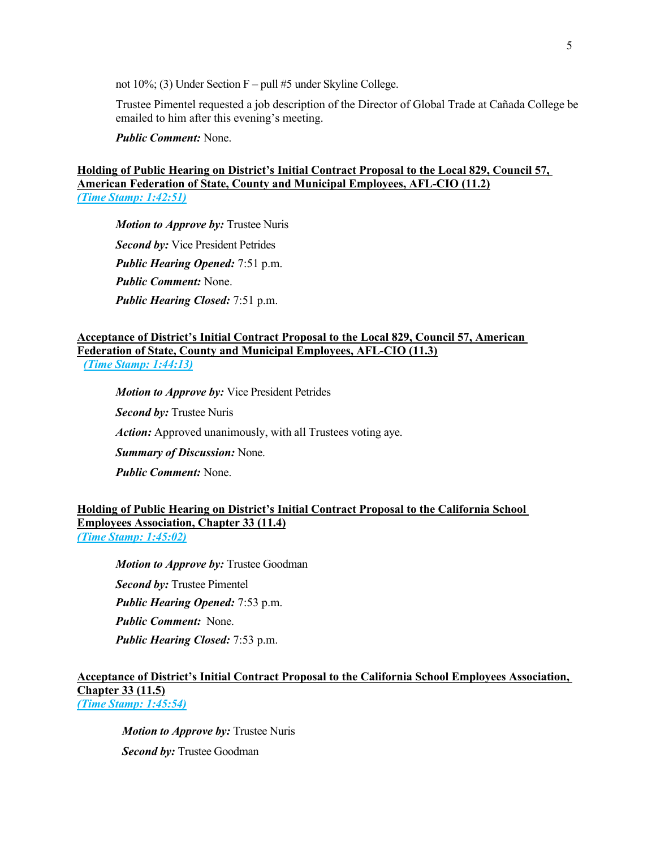not 10%; (3) Under Section F – pull #5 under Skyline College.

Trustee Pimentel requested a job description of the Director of Global Trade at Cañada College be emailed to him after this evening's meeting.

*Public Comment:* None.

#### **Holding of Public Hearing on District's Initial Contract Proposal to the Local 829, Council 57, American Federation of State, County and Municipal Employees, AFL-CIO (11.2)** *(Time Stamp: 1:42:51)*

*Motion to Approve by:* Trustee Nuris *Second by:* Vice President Petrides *Public Hearing Opened:* 7:51 p.m. *Public Comment:* None. *Public Hearing Closed:* 7:51 p.m.

#### **Acceptance of District's Initial Contract Proposal to the Local 829, Council 57, American Federation of State, County and Municipal Employees, AFL-CIO (11.3)** *(Time Stamp: 1:44:13)*

*Motion to Approve by:* Vice President Petrides *Second by:* Trustee Nuris *Action:* Approved unanimously, with all Trustees voting aye. *Summary of Discussion:* None. *Public Comment:* None.

### **Holding of Public Hearing on District's Initial Contract Proposal to the California School Employees Association, Chapter 33 (11.4)** *(Time Stamp: 1:45:02)*

*Motion to Approve by:* Trustee Goodman *Second by:* Trustee Pimentel *Public Hearing Opened:* 7:53 p.m. *Public Comment:* None. *Public Hearing Closed:* 7:53 p.m.

### **Acceptance of District's Initial Contract Proposal to the California School Employees Association, Chapter 33 (11.5)** *(Time Stamp: 1:45:54)*

*Motion to Approve by:* Trustee Nuris *Second by:* Trustee Goodman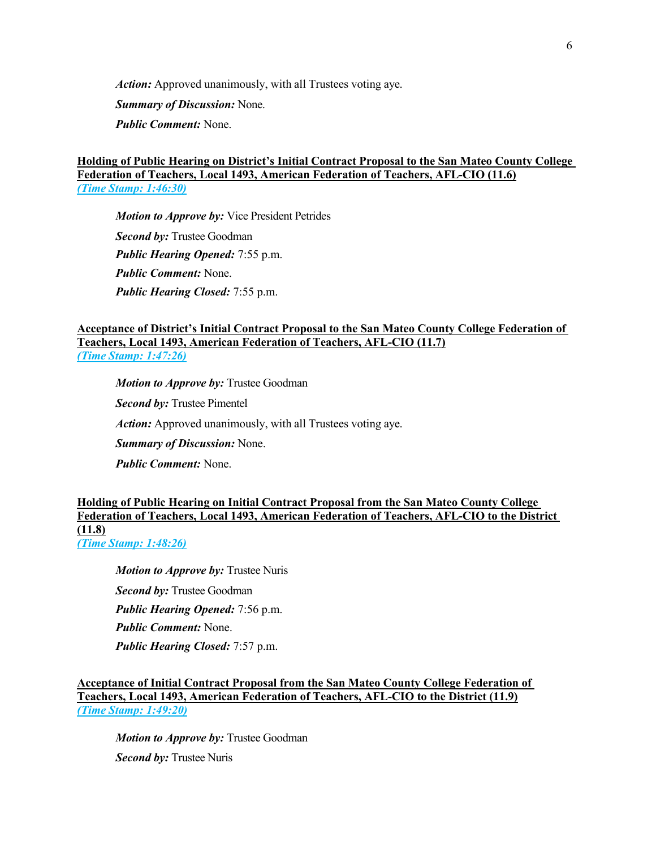*Action:* Approved unanimously, with all Trustees voting aye.

*Summary of Discussion:* None.

*Public Comment:* None.

### **Holding of Public Hearing on District's Initial Contract Proposal to the San Mateo County College Federation of Teachers, Local 1493, American Federation of Teachers, AFL-CIO (11.6)** *(Time Stamp: 1:46:30)*

*Motion to Approve by:* Vice President Petrides *Second by:* Trustee Goodman *Public Hearing Opened:* 7:55 p.m. *Public Comment:* None. *Public Hearing Closed:* 7:55 p.m.

### **Acceptance of District's Initial Contract Proposal to the San Mateo County College Federation of Teachers, Local 1493, American Federation of Teachers, AFL-CIO (11.7)** *(Time Stamp: 1:47:26)*

*Motion to Approve by:* Trustee Goodman *Second by:* Trustee Pimentel *Action:* Approved unanimously, with all Trustees voting aye. *Summary of Discussion:* None. *Public Comment:* None.

## **Holding of Public Hearing on Initial Contract Proposal from the San Mateo County College Federation of Teachers, Local 1493, American Federation of Teachers, AFL-CIO to the District (11.8)** *(Time Stamp: 1:48:26)*

*Motion to Approve by:* Trustee Nuris *Second by:* Trustee Goodman *Public Hearing Opened:* 7:56 p.m. *Public Comment:* None. *Public Hearing Closed:* 7:57 p.m.

**Acceptance of Initial Contract Proposal from the San Mateo County College Federation of Teachers, Local 1493, American Federation of Teachers, AFL-CIO to the District (11.9)** *(Time Stamp: 1:49:20)*

*Motion to Approve by:* Trustee Goodman *Second by:* Trustee Nuris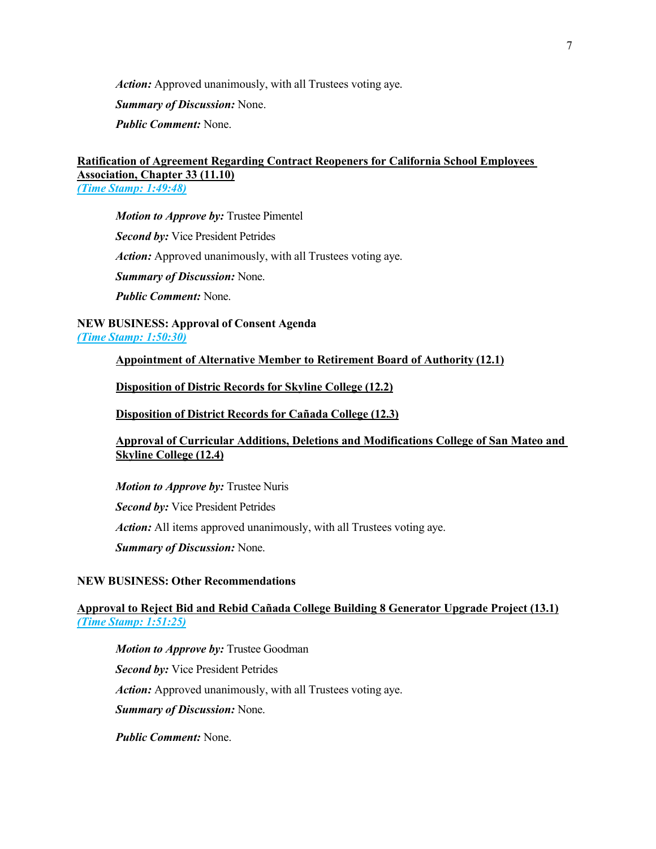*Action:* Approved unanimously, with all Trustees voting aye.

*Summary of Discussion:* None.

*Public Comment:* None.

## **Ratification of Agreement Regarding Contract Reopeners for California School Employees Association, Chapter 33 (11.10)**

*(Time Stamp: 1:49:48)*

*Motion to Approve by:* Trustee Pimentel *Second by:* Vice President Petrides *Action:* Approved unanimously, with all Trustees voting aye. *Summary of Discussion:* None. *Public Comment:* None.

**NEW BUSINESS: Approval of Consent Agenda** *(Time Stamp: 1:50:30)*

**Appointment of Alternative Member to Retirement Board of Authority (12.1)**

**Disposition of Distric Records for Skyline College (12.2)**

**Disposition of District Records for Cañada College (12.3)**

**Approval of Curricular Additions, Deletions and Modifications College of San Mateo and Skyline College (12.4)**

*Motion to Approve by:* Trustee Nuris

*Second by:* Vice President Petrides

*Action:* All items approved unanimously, with all Trustees voting aye.

*Summary of Discussion:* None.

## **NEW BUSINESS: Other Recommendations**

## **Approval to Reject Bid and Rebid Cañada College Building 8 Generator Upgrade Project (13.1)** *(Time Stamp: 1:51:25)*

*Motion to Approve by:* Trustee Goodman *Second by:* Vice President Petrides *Action:* Approved unanimously, with all Trustees voting aye. *Summary of Discussion:* None.

*Public Comment:* None.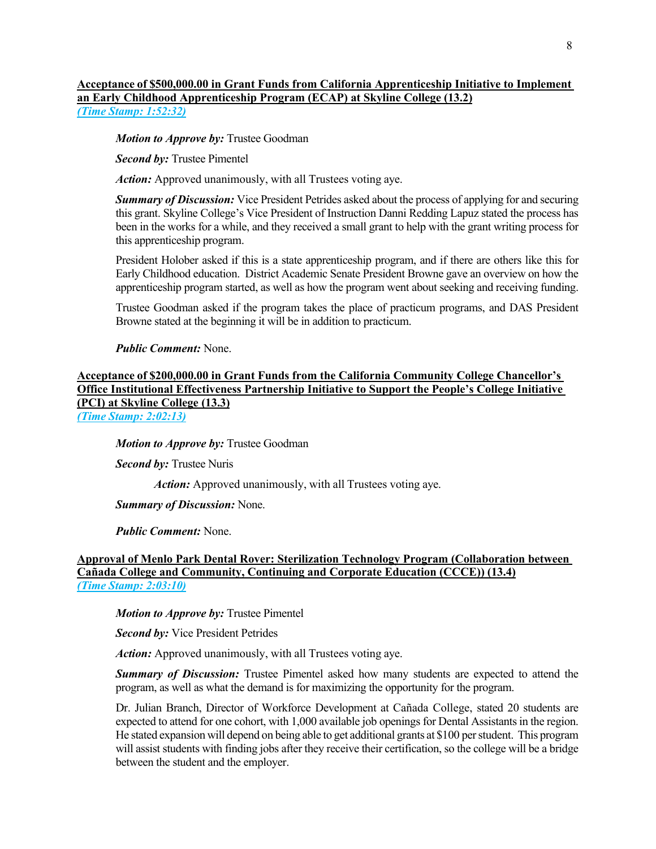#### **Acceptance of \$500,000.00 in Grant Funds from California Apprenticeship Initiative to Implement an Early Childhood Apprenticeship Program (ECAP) at Skyline College (13.2)** *(Time Stamp: 1:52:32)*

#### *Motion to Approve by:* Trustee Goodman

*Second by:* Trustee Pimentel

*Action:* Approved unanimously, with all Trustees voting aye.

*Summary of Discussion:* Vice President Petrides asked about the process of applying for and securing this grant. Skyline College's Vice President of Instruction Danni Redding Lapuz stated the process has been in the works for a while, and they received a small grant to help with the grant writing process for this apprenticeship program.

President Holober asked if this is a state apprenticeship program, and if there are others like this for Early Childhood education. District Academic Senate President Browne gave an overview on how the apprenticeship program started, as well as how the program went about seeking and receiving funding.

Trustee Goodman asked if the program takes the place of practicum programs, and DAS President Browne stated at the beginning it will be in addition to practicum.

#### *Public Comment:* None.

**Acceptance of \$200,000.00 in Grant Funds from the California Community College Chancellor's Office Institutional Effectiveness Partnership Initiative to Support the People's College Initiative (PCI) at Skyline College (13.3)**

*(Time Stamp: 2:02:13)*

#### *Motion to Approve by:* Trustee Goodman

*Second by:* Trustee Nuris

*Action:* Approved unanimously, with all Trustees voting aye.

#### *Summary of Discussion:* None.

*Public Comment:* None.

#### **Approval of Menlo Park Dental Rover: Sterilization Technology Program (Collaboration between Cañada College and Community, Continuing and Corporate Education (CCCE)) (13.4)** *(Time Stamp: 2:03:10)*

*Motion to Approve by:* Trustee Pimentel

*Second by:* Vice President Petrides

*Action:* Approved unanimously, with all Trustees voting aye.

*Summary of Discussion:* Trustee Pimentel asked how many students are expected to attend the program, as well as what the demand is for maximizing the opportunity for the program.

Dr. Julian Branch, Director of Workforce Development at Cañada College, stated 20 students are expected to attend for one cohort, with 1,000 available job openings for Dental Assistants in the region. He stated expansion will depend on being able to get additional grants at \$100 per student. This program will assist students with finding jobs after they receive their certification, so the college will be a bridge between the student and the employer.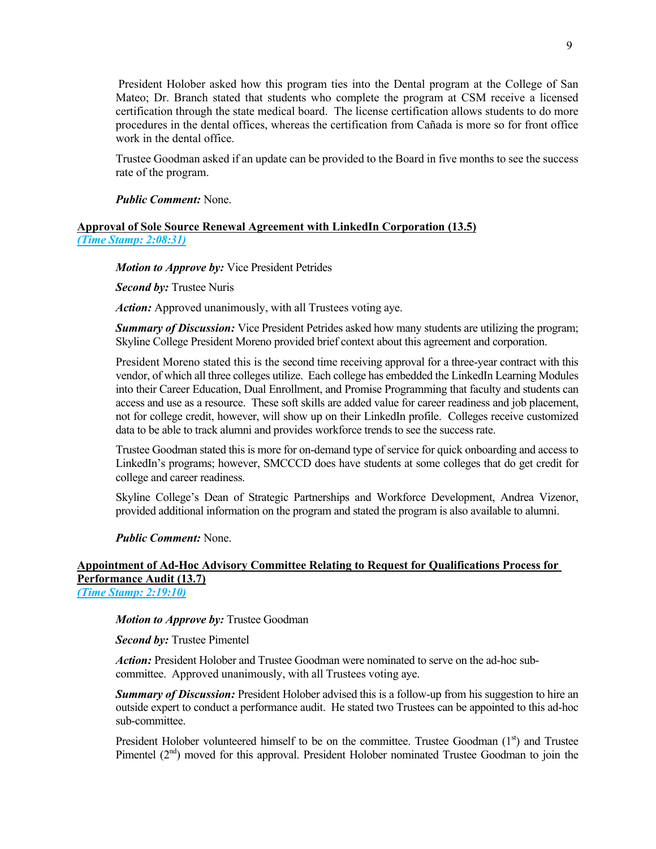President Holober asked how this program ties into the Dental program at the College of San Mateo; Dr. Branch stated that students who complete the program at CSM receive a licensed certification through the state medical board. The license certification allows students to do more procedures in the dental offices, whereas the certification from Cañada is more so for front office work in the dental office.

Trustee Goodman asked if an update can be provided to the Board in five months to see the success rate of the program.

#### *Public Comment:* None.

#### **Approval of Sole Source Renewal Agreement with LinkedIn Corporation (13.5)** *(Time Stamp: 2:08:31)*

#### *Motion to Approve by:* Vice President Petrides

*Second by:* Trustee Nuris

*Action:* Approved unanimously, with all Trustees voting aye.

*Summary of Discussion:* Vice President Petrides asked how many students are utilizing the program; Skyline College President Moreno provided brief context about this agreement and corporation.

President Moreno stated this is the second time receiving approval for a three-year contract with this vendor, of which all three colleges utilize. Each college has embedded the LinkedIn Learning Modules into their Career Education, Dual Enrollment, and Promise Programming that faculty and students can access and use as a resource. These soft skills are added value for career readiness and job placement, not for college credit, however, will show up on their LinkedIn profile. Colleges receive customized data to be able to track alumni and provides workforce trends to see the success rate.

Trustee Goodman stated this is more for on-demand type of service for quick onboarding and access to LinkedIn's programs; however, SMCCCD does have students at some colleges that do get credit for college and career readiness.

Skyline College's Dean of Strategic Partnerships and Workforce Development, Andrea Vizenor, provided additional information on the program and stated the program is also available to alumni.

*Public Comment:* None.

## **Appointment of Ad-Hoc Advisory Committee Relating to Request for Qualifications Process for Performance Audit (13.7)**

*(Time Stamp: 2:19:10)*

*Motion to Approve by:* Trustee Goodman

*Second by:* Trustee Pimentel

*Action:* President Holober and Trustee Goodman were nominated to serve on the ad-hoc subcommittee. Approved unanimously, with all Trustees voting aye.

*Summary of Discussion:* President Holober advised this is a follow-up from his suggestion to hire an outside expert to conduct a performance audit. He stated two Trustees can be appointed to this ad-hoc sub-committee.

President Holober volunteered himself to be on the committee. Trustee Goodman  $(1<sup>st</sup>)$  and Trustee Pimentel  $(2<sup>nd</sup>)$  moved for this approval. President Holober nominated Trustee Goodman to join the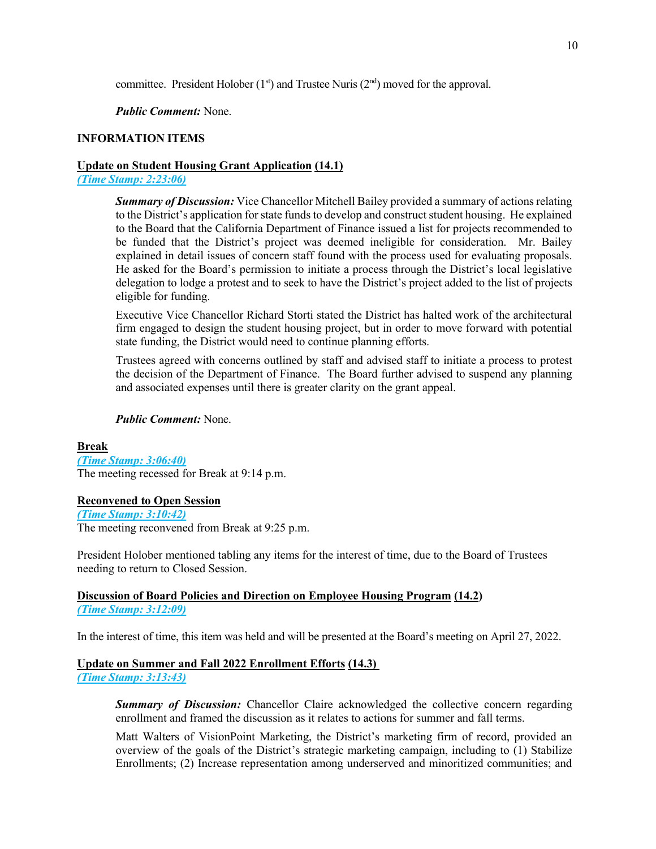committee. President Holober  $(1<sup>st</sup>)$  and Trustee Nuris  $(2<sup>nd</sup>)$  moved for the approval.

*Public Comment:* None.

## **INFORMATION ITEMS**

### **Update on Student Housing Grant Application (14.1)**

*(Time Stamp: 2:23:06)*

*Summary of Discussion:* Vice Chancellor Mitchell Bailey provided a summary of actions relating to the District's application for state funds to develop and construct student housing. He explained to the Board that the California Department of Finance issued a list for projects recommended to be funded that the District's project was deemed ineligible for consideration. Mr. Bailey explained in detail issues of concern staff found with the process used for evaluating proposals. He asked for the Board's permission to initiate a process through the District's local legislative delegation to lodge a protest and to seek to have the District's project added to the list of projects eligible for funding.

Executive Vice Chancellor Richard Storti stated the District has halted work of the architectural firm engaged to design the student housing project, but in order to move forward with potential state funding, the District would need to continue planning efforts.

Trustees agreed with concerns outlined by staff and advised staff to initiate a process to protest the decision of the Department of Finance. The Board further advised to suspend any planning and associated expenses until there is greater clarity on the grant appeal.

#### *Public Comment:* None.

**Break** *(Time Stamp: 3:06:40)* The meeting recessed for Break at 9:14 p.m.

## **Reconvened to Open Session**

*(Time Stamp: 3:10:42)* The meeting reconvened from Break at 9:25 p.m.

President Holober mentioned tabling any items for the interest of time, due to the Board of Trustees needing to return to Closed Session.

## **Discussion of Board Policies and Direction on Employee Housing Program (14.2)**  *(Time Stamp: 3:12:09)*

In the interest of time, this item was held and will be presented at the Board's meeting on April 27, 2022.

#### **Update on Summer and Fall 2022 Enrollment Efforts (14.3)**

*(Time Stamp: 3:13:43)*

*Summary of Discussion:* Chancellor Claire acknowledged the collective concern regarding enrollment and framed the discussion as it relates to actions for summer and fall terms.

Matt Walters of VisionPoint Marketing, the District's marketing firm of record, provided an overview of the goals of the District's strategic marketing campaign, including to (1) Stabilize Enrollments; (2) Increase representation among underserved and minoritized communities; and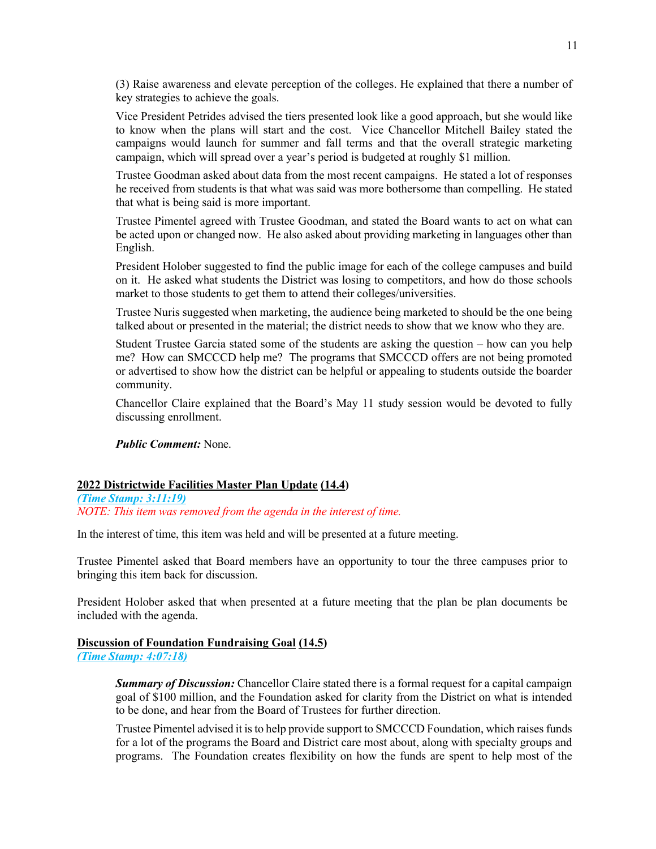(3) Raise awareness and elevate perception of the colleges. He explained that there a number of key strategies to achieve the goals.

Vice President Petrides advised the tiers presented look like a good approach, but she would like to know when the plans will start and the cost. Vice Chancellor Mitchell Bailey stated the campaigns would launch for summer and fall terms and that the overall strategic marketing campaign, which will spread over a year's period is budgeted at roughly \$1 million.

Trustee Goodman asked about data from the most recent campaigns. He stated a lot of responses he received from students is that what was said was more bothersome than compelling. He stated that what is being said is more important.

Trustee Pimentel agreed with Trustee Goodman, and stated the Board wants to act on what can be acted upon or changed now. He also asked about providing marketing in languages other than English.

President Holober suggested to find the public image for each of the college campuses and build on it. He asked what students the District was losing to competitors, and how do those schools market to those students to get them to attend their colleges/universities.

Trustee Nuris suggested when marketing, the audience being marketed to should be the one being talked about or presented in the material; the district needs to show that we know who they are.

Student Trustee Garcia stated some of the students are asking the question – how can you help me? How can SMCCCD help me? The programs that SMCCCD offers are not being promoted or advertised to show how the district can be helpful or appealing to students outside the boarder community.

Chancellor Claire explained that the Board's May 11 study session would be devoted to fully discussing enrollment.

*Public Comment:* None.

#### **2022 Districtwide Facilities Master Plan Update (14.4)**

*(Time Stamp: 3:11:19) NOTE: This item was removed from the agenda in the interest of time.*

In the interest of time, this item was held and will be presented at a future meeting.

Trustee Pimentel asked that Board members have an opportunity to tour the three campuses prior to bringing this item back for discussion.

President Holober asked that when presented at a future meeting that the plan be plan documents be included with the agenda.

#### **Discussion of Foundation Fundraising Goal (14.5)**

*(Time Stamp: 4:07:18)*

*Summary of Discussion:* Chancellor Claire stated there is a formal request for a capital campaign goal of \$100 million, and the Foundation asked for clarity from the District on what is intended to be done, and hear from the Board of Trustees for further direction.

Trustee Pimentel advised it is to help provide support to SMCCCD Foundation, which raises funds for a lot of the programs the Board and District care most about, along with specialty groups and programs. The Foundation creates flexibility on how the funds are spent to help most of the